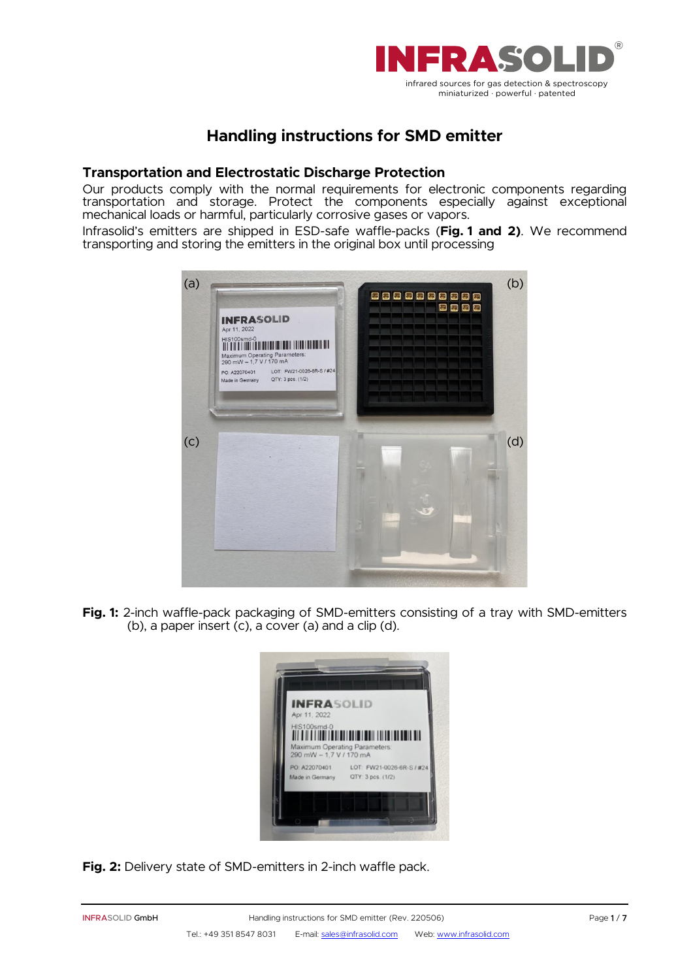

# **Handling instructions for SMD emitter**

# **Transportation and Electrostatic Discharge Protection**

Our products comply with the normal requirements for electronic components regarding transportation and storage. Protect the components especially against exceptional mechanical loads or harmful, particularly corrosive gases or vapors.

Infrasolid's emitters are shipped in ESD-safe waffle-packs (**Fig. 1 and 2)**. We recommend transporting and storing the emitters in the original box until processing



**Fig. 1:** 2-inch waffle-pack packaging of SMD-emitters consisting of a tray with SMD-emitters (b), a paper insert (c), a cover (a) and a clip (d).



**Fig. 2:** Delivery state of SMD-emitters in 2-inch waffle pack.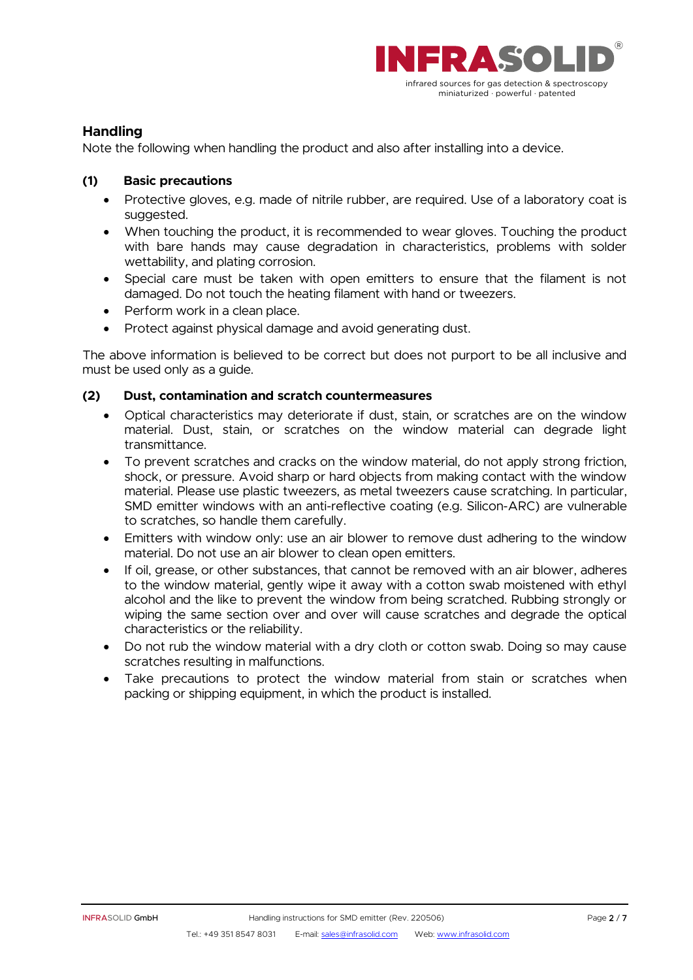

# **Handling**

Note the following when handling the product and also after installing into a device.

# **(1) Basic precautions**

- Protective gloves, e.g. made of nitrile rubber, are required. Use of a laboratory coat is suggested.
- When touching the product, it is recommended to wear gloves. Touching the product with bare hands may cause degradation in characteristics, problems with solder wettability, and plating corrosion.
- Special care must be taken with open emitters to ensure that the filament is not damaged. Do not touch the heating filament with hand or tweezers.
- Perform work in a clean place.
- Protect against physical damage and avoid generating dust.

The above information is believed to be correct but does not purport to be all inclusive and must be used only as a guide.

### **(2) Dust, contamination and scratch countermeasures**

- Optical characteristics may deteriorate if dust, stain, or scratches are on the window material. Dust, stain, or scratches on the window material can degrade light transmittance.
- To prevent scratches and cracks on the window material, do not apply strong friction, shock, or pressure. Avoid sharp or hard objects from making contact with the window material. Please use plastic tweezers, as metal tweezers cause scratching. In particular, SMD emitter windows with an anti-reflective coating (e.g. Silicon-ARC) are vulnerable to scratches, so handle them carefully.
- Emitters with window only: use an air blower to remove dust adhering to the window material. Do not use an air blower to clean open emitters.
- If oil, grease, or other substances, that cannot be removed with an air blower, adheres to the window material, gently wipe it away with a cotton swab moistened with ethyl alcohol and the like to prevent the window from being scratched. Rubbing strongly or wiping the same section over and over will cause scratches and degrade the optical characteristics or the reliability.
- Do not rub the window material with a dry cloth or cotton swab. Doing so may cause scratches resulting in malfunctions.
- Take precautions to protect the window material from stain or scratches when packing or shipping equipment, in which the product is installed.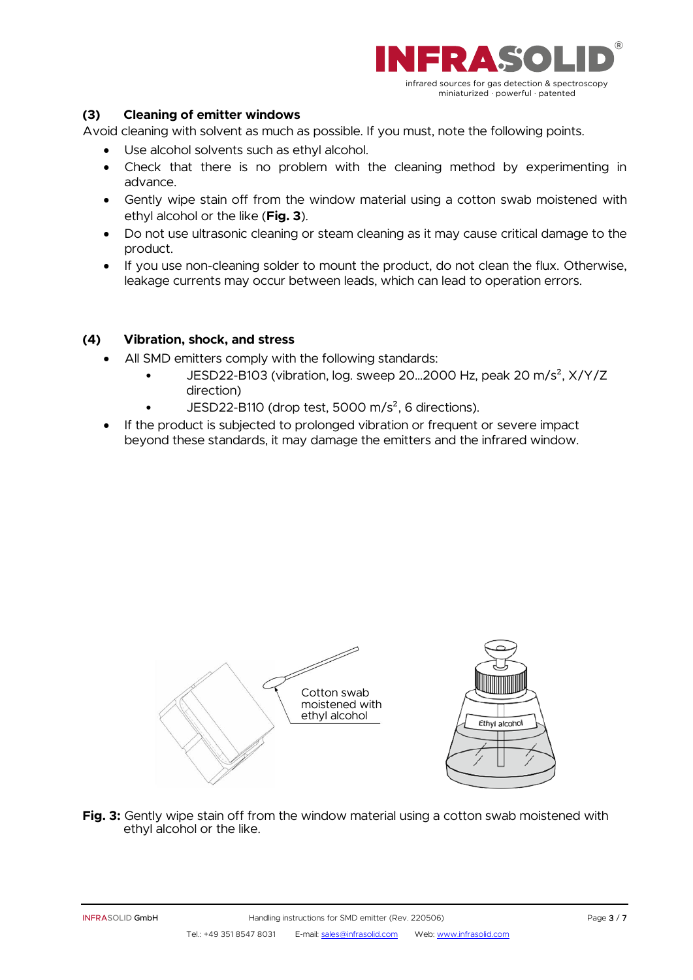

# **(3) Cleaning of emitter windows**

Avoid cleaning with solvent as much as possible. If you must, note the following points.

- Use alcohol solvents such as ethyl alcohol.
- Check that there is no problem with the cleaning method by experimenting in advance.
- Gently wipe stain off from the window material using a cotton swab moistened with ethyl alcohol or the like (**Fig. 3**).
- Do not use ultrasonic cleaning or steam cleaning as it may cause critical damage to the product.
- If you use non-cleaning solder to mount the product, do not clean the flux. Otherwise, leakage currents may occur between leads, which can lead to operation errors.

### **(4) Vibration, shock, and stress**

- All SMD emitters comply with the following standards:
	- JESD22-B103 (vibration, log. sweep 20…2000 Hz, peak 20 m/s², X/Y/Z direction)
	- JESD22-B110 (drop test, 5000 m/ $s^2$ , 6 directions).
- If the product is subjected to prolonged vibration or frequent or severe impact beyond these standards, it may damage the emitters and the infrared window.



**Fig. 3:** Gently wipe stain off from the window material using a cotton swab moistened with ethyl alcohol or the like.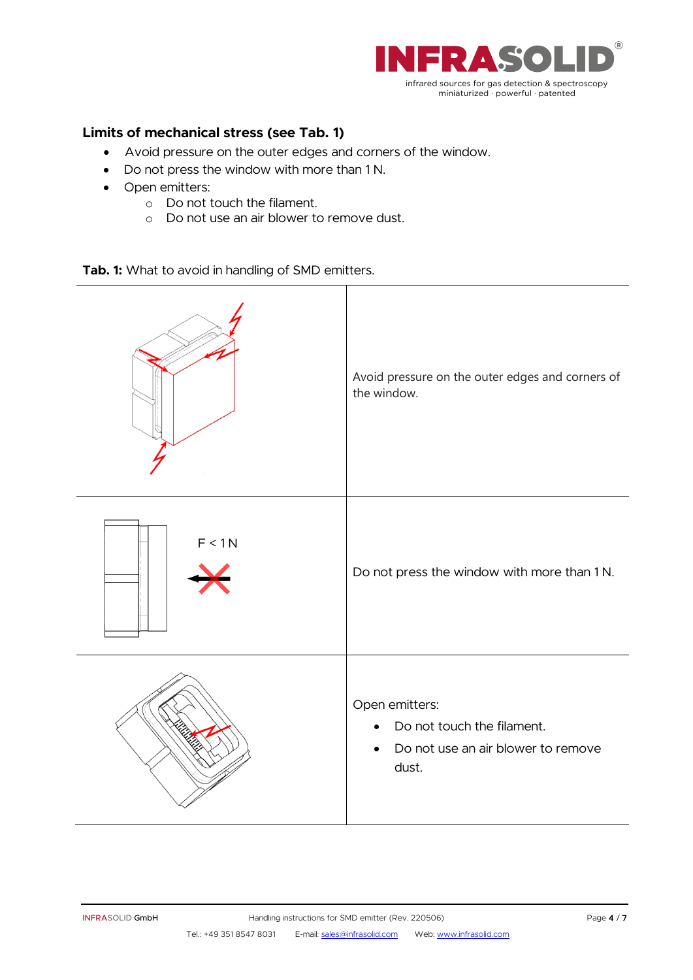

# **Limits of mechanical stress (see Tab. 1)**

- Avoid pressure on the outer edges and corners of the window.
- Do not press the window with more than 1 N.
- Open emitters:
	- o Do not touch the filament.
	- o Do not use an air blower to remove dust.

**Tab. 1:** What to avoid in handling of SMD emitters.

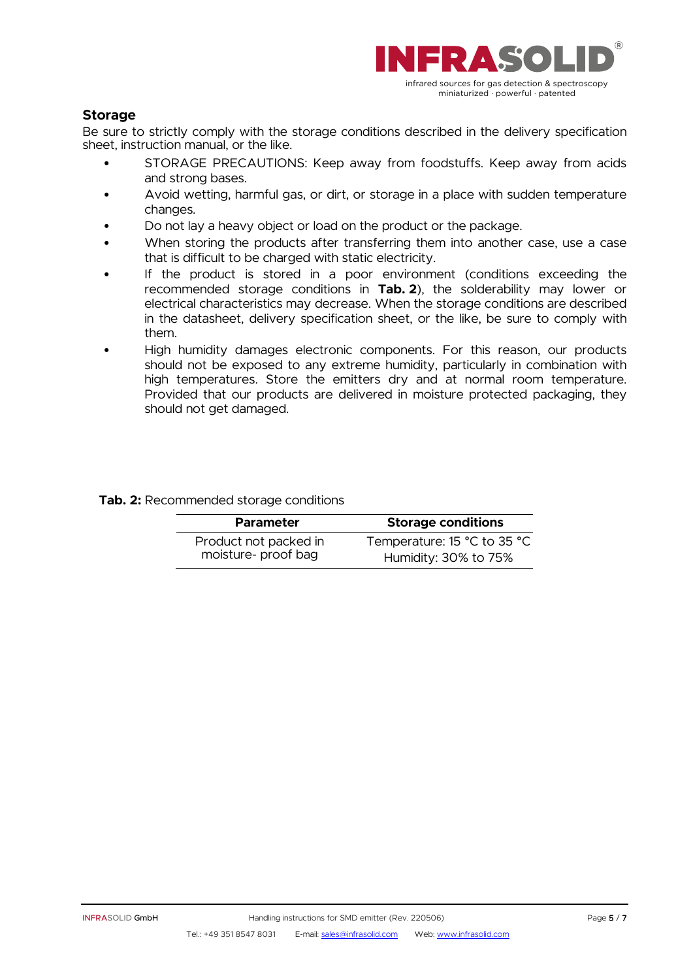

# **Storage**

Be sure to strictly comply with the storage conditions described in the delivery specification sheet, instruction manual, or the like.

- STORAGE PRECAUTIONS: Keep away from foodstuffs. Keep away from acids and strong bases.
- Avoid wetting, harmful gas, or dirt, or storage in a place with sudden temperature changes.
- Do not lay a heavy object or load on the product or the package.
- When storing the products after transferring them into another case, use a case that is difficult to be charged with static electricity.
- If the product is stored in a poor environment (conditions exceeding the recommended storage conditions in **Tab. 2**), the solderability may lower or electrical characteristics may decrease. When the storage conditions are described in the datasheet, delivery specification sheet, or the like, be sure to comply with them.
- High humidity damages electronic components. For this reason, our products should not be exposed to any extreme humidity, particularly in combination with high temperatures. Store the emitters dry and at normal room temperature. Provided that our products are delivered in moisture protected packaging, they should not get damaged.

#### **Tab. 2:** Recommended storage conditions

| <b>Storage conditions</b>   |
|-----------------------------|
| Temperature: 15 °C to 35 °C |
| Humidity: 30% to 75%        |
|                             |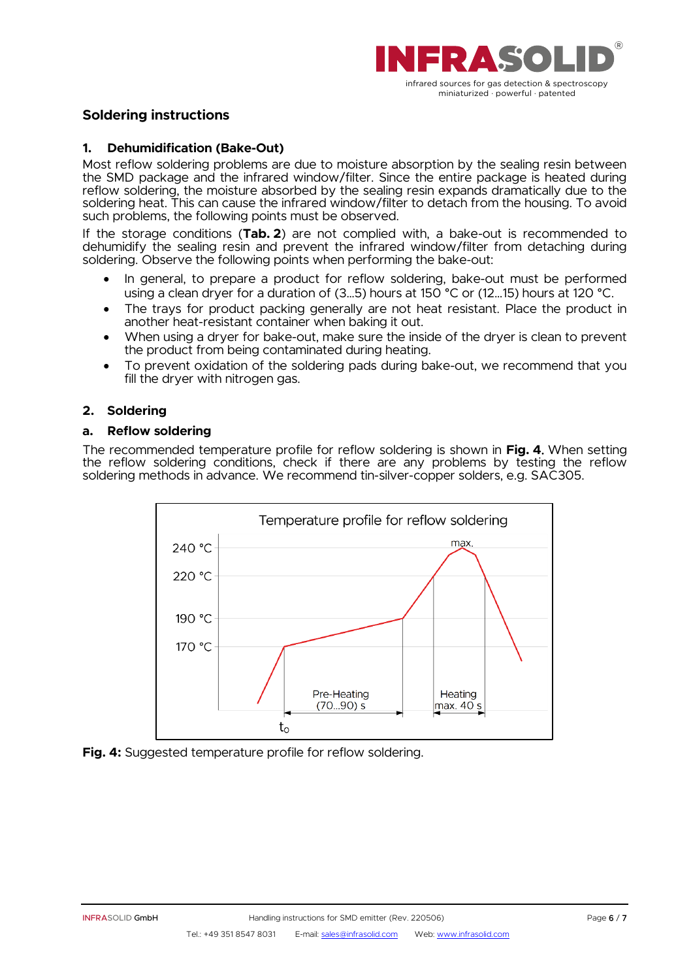

# **Soldering instructions**

#### **1. Dehumidification (Bake-Out)**

Most reflow soldering problems are due to moisture absorption by the sealing resin between the SMD package and the infrared window/filter. Since the entire package is heated during reflow soldering, the moisture absorbed by the sealing resin expands dramatically due to the soldering heat. This can cause the infrared window/filter to detach from the housing. To avoid such problems, the following points must be observed.

If the storage conditions (**Tab. 2**) are not complied with, a bake-out is recommended to dehumidify the sealing resin and prevent the infrared window/filter from detaching during soldering. Observe the following points when performing the bake-out:

- In general, to prepare a product for reflow soldering, bake-out must be performed using a clean dryer for a duration of (3...5) hours at 150 °C or (12...15) hours at 120 °C.
- The trays for product packing generally are not heat resistant. Place the product in another heat-resistant container when baking it out.
- When using a dryer for bake-out, make sure the inside of the dryer is clean to prevent the product from being contaminated during heating.
- To prevent oxidation of the soldering pads during bake-out, we recommend that you fill the dryer with nitrogen gas.

#### **2. Soldering**

#### **a. Reflow soldering**

The recommended temperature profile for reflow soldering is shown in **Fig. 4** When setting the reflow soldering conditions, check if there are any problems by testing the reflow soldering methods in advance. We recommend tin-silver-copper solders, e.g. SAC305.



**Fig. 4:** Suggested temperature profile for reflow soldering.